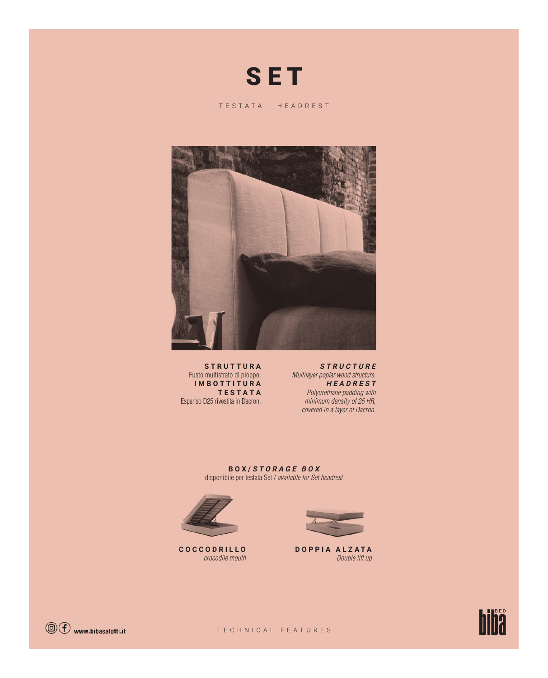

TESTATA - HEADREST



**S T R U T T U R A**  Fusto multistrato di pioppo. **IMBOTTITURA TESTATA** Espanso D25 rivestita in Dacron.

**STRUCTURE** Multilayer poplar wood structure. **HEADREST** Polyurethane padding with minimum density of 25 HR, covered in a layer of Dacron.

**BOX/ STORAGE BOX** disponibile per testata Set / available for Set headrest



**COCCODRILLO** crocodile mouth



**DOPPIA ALZATA** Double lift up



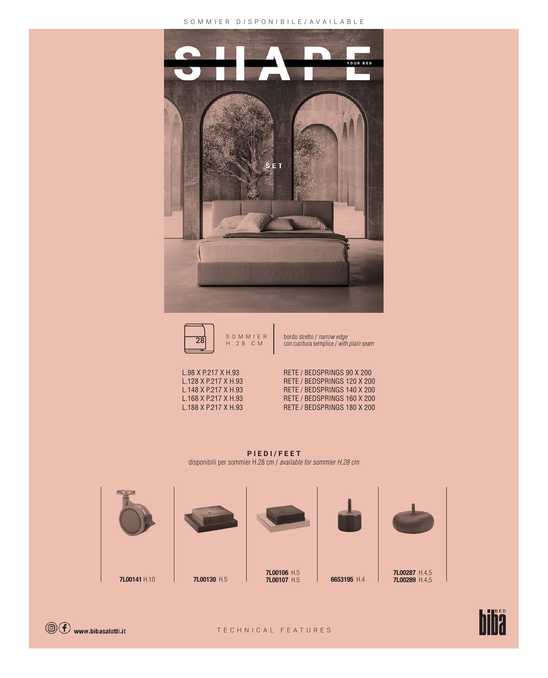## SOMMIER DISPONIBILE/AVAILABLE





con cucitura semplice / with plain seam



L.98 X P.217 X H.93 RETE / BEDSPRINGS 90 X 200 L.128 X P.217 X H.93 RETE / BEDSPRINGS 120 X 200 RETE / BEDSPRINGS 140 X 200 L.168 X P.217 X H.93 RETE / BEDSPRINGS 160 X 200<br>L.188 X P.217 X H.93 RETE / BEDSPRINGS 180 X 200 RETE / BEDSPRINGS 180 X 200

**PIEDI/FEET** disponibili per sommier H.28 cm / available for sommier H.28 cm





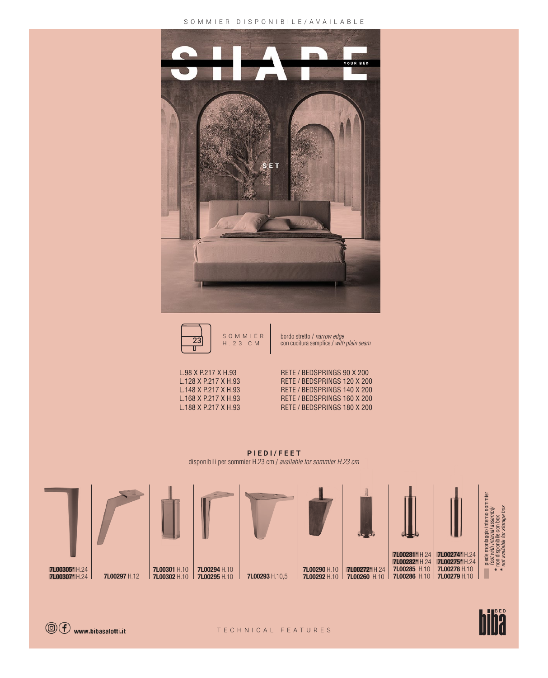## SOMMIER DISPONIBILE/AVAILABLE  $\overline{a}$





SOMMIER bordo stretto<br>H.23 CM con cucitura s bordo stretto / narrow edge la. con cucitura semplice / with plain seam

L.98 X P.217 X H.93 RETE / BEDSPRINGS 90 X 200 L.128 X P.217 X H.93 RETE / BEDSPRINGS 120 X 200<br>L.148 X P.217 X H.93 RETE / BEDSPRINGS 140 X 200 RETE / BEDSPRINGS 140 X 200 L.168 X P.217 X H.93 RETE / BEDSPRINGS 160 X 200<br>L.188 X P.217 X H.93 RETE / BEDSPRINGS 180 X 200 RETE / BEDSPRINGS 180 X 200

**PIEDI/FEET** disponibili per sommier H.23 cm / available for sommier H.23 cm